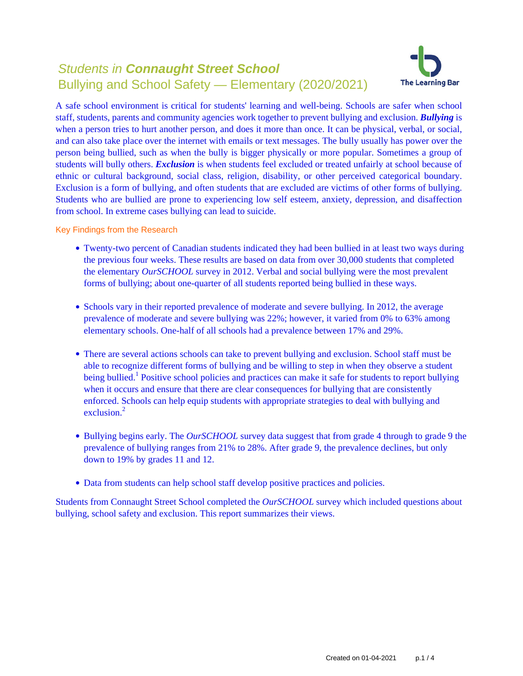# Students in **Connaught Street School** Bullying and School Safety — Elementary (2020/2021)



A safe school environment is critical for students' learning and well-being. Schools are safer when school staff, students, parents and community agencies work together to prevent bullying and exclusion. *Bullying* is when a person tries to hurt another person, and does it more than once. It can be physical, verbal, or social, and can also take place over the internet with emails or text messages. The bully usually has power over the person being bullied, such as when the bully is bigger physically or more popular. Sometimes a group of students will bully others. *Exclusion* is when students feel excluded or treated unfairly at school because of ethnic or cultural background, social class, religion, disability, or other perceived categorical boundary. Exclusion is a form of bullying, and often students that are excluded are victims of other forms of bullying. Students who are bullied are prone to experiencing low self esteem, anxiety, depression, and disaffection from school. In extreme cases bullying can lead to suicide.

Key Findings from the Research

- Twenty-two percent of Canadian students indicated they had been bullied in at least two ways during the previous four weeks. These results are based on data from over 30,000 students that completed the elementary *OurSCHOOL* survey in 2012. Verbal and social bullying were the most prevalent forms of bullying; about one-quarter of all students reported being bullied in these ways.
- Schools vary in their reported prevalence of moderate and severe bullying. In 2012, the average prevalence of moderate and severe bullying was 22%; however, it varied from 0% to 63% among elementary schools. One-half of all schools had a prevalence between 17% and 29%.
- There are several actions schools can take to prevent bullying and exclusion. School staff must be able to recognize different forms of bullying and be willing to step in when they observe a student being bullied.<sup>1</sup> Positive school policies and practices can make it safe for students to report bullying when it occurs and ensure that there are clear consequences for bullying that are consistently enforced. Schools can help equip students with appropriate strategies to deal with bullying and exclusion $^2$
- Bullying begins early. The *OurSCHOOL* survey data suggest that from grade 4 through to grade 9 the prevalence of bullying ranges from 21% to 28%. After grade 9, the prevalence declines, but only down to 19% by grades 11 and 12.
- Data from students can help school staff develop positive practices and policies.

Students from Connaught Street School completed the *OurSCHOOL* survey which included questions about bullying, school safety and exclusion. This report summarizes their views.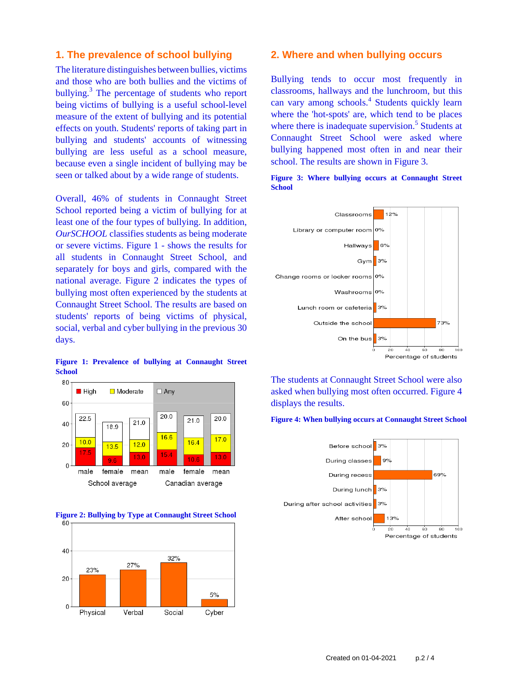# **1. The prevalence of school bullying**

The literature distinguishes between bullies, victims and those who are both bullies and the victims of bullying.<sup>3</sup> The percentage of students who report being victims of bullying is a useful school-level measure of the extent of bullying and its potential effects on youth. Students' reports of taking part in bullying and students' accounts of witnessing bullying are less useful as a school measure, because even a single incident of bullying may be seen or talked about by a wide range of students.

Overall, 46% of students in Connaught Street School reported being a victim of bullying for at least one of the four types of bullying. In addition, *OurSCHOOL* classifies students as being moderate or severe victims. Figure 1 - shows the results for all students in Connaught Street School, and separately for boys and girls, compared with the national average. Figure 2 indicates the types of bullying most often experienced by the students at Connaught Street School. The results are based on students' reports of being victims of physical, social, verbal and cyber bullying in the previous 30 days.









### **2. Where and when bullying occurs**

Bullying tends to occur most frequently in classrooms, hallways and the lunchroom, but this can vary among schools.<sup>4</sup> Students quickly learn where the 'hot-spots' are, which tend to be places where there is inadequate supervision.<sup>5</sup> Students at Connaught Street School were asked where bullying happened most often in and near their school. The results are shown in Figure 3.



**Figure 3: Where bullying occurs at Connaught Street School**

The students at Connaught Street School were also asked when bullying most often occurred. Figure 4 displays the results.

#### **Figure 4: When bullying occurs at Connaught Street School**

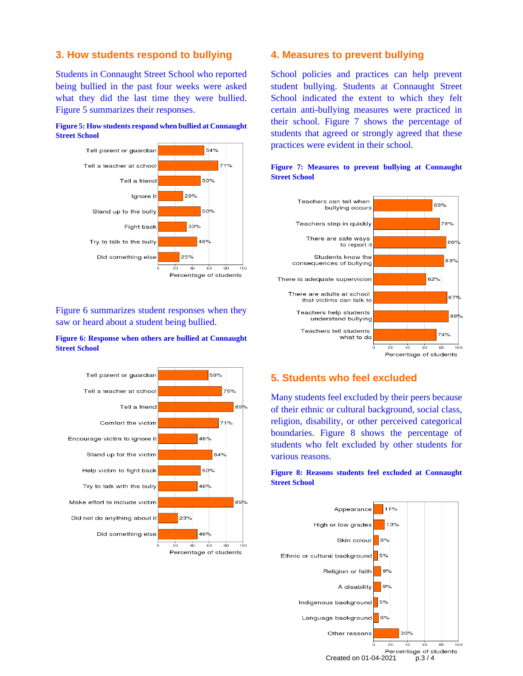# **3. How students respond to bullying**

Students in Connaught Street School who reported being bullied in the past four weeks were asked what they did the last time they were bullied. Figure 5 summarizes their responses.





Figure 6 summarizes student responses when they saw or heard about a student being bullied.

### **Figure 6: Response when others are bullied at Connaught Street School**



### **4. Measures to prevent bullying**

School policies and practices can help prevent student bullying. Students at Connaught Street School indicated the extent to which they felt certain anti-bullying measures were practiced in their school. Figure 7 shows the percentage of students that agreed or strongly agreed that these practices were evident in their school.



### **Figure 7: Measures to prevent bullying at Connaught Street School**

# **5. Students who feel excluded**

Many students feel excluded by their peers because of their ethnic or cultural background, social class, religion, disability, or other perceived categorical boundaries. Figure 8 shows the percentage of students who felt excluded by other students for various reasons.

### **Figure 8: Reasons students feel excluded at Connaught Street School**